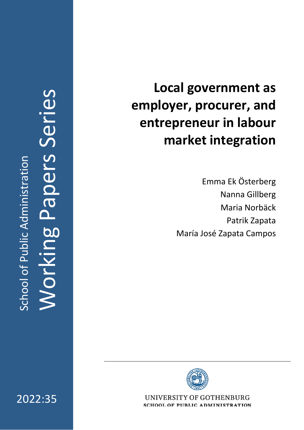2022:3 5

# **Local government as employer, procurer, and entrepreneur in labour market integration**

Emma Ek Österberg Nanna Gillberg Maria Norb äck Patrik Zapata Mar í a Jos é Zapata Campos



UNIVERSITY OF GOTHENBURG **SCHOOL OF PUBLIC ADMINISTRATION**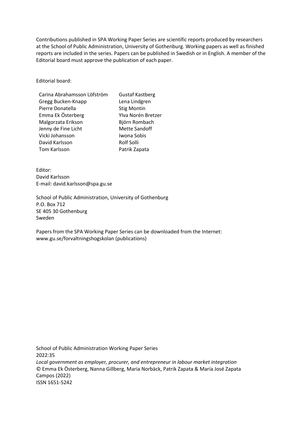Contributions published in SPA Working Paper Series are scientific reports produced by researchers at the School of Public Administration, University of Gothenburg. Working papers as well as finished reports are included in the series. Papers can be published in Swedish or in English. A member of the Editorial board must approve the publication of each paper.

Editorial board:

| Carina Abrahamsson Löfström | <b>Gustaf Kastberg</b> |
|-----------------------------|------------------------|
| Gregg Bucken-Knapp          | Lena Lindgren          |
| Pierre Donatella            | <b>Stig Montin</b>     |
| Emma Ek Österberg           | Ylva Norén Bretzer     |
| Malgorzata Erikson          | Björn Rombach          |
| Jenny de Fine Licht         | <b>Mette Sandoff</b>   |
| Vicki Johansson             | Iwona Sobis            |
| David Karlsson              | Rolf Solli             |
| Tom Karlsson                | Patrik Zapata          |
|                             |                        |

Editor: David Karlsson E-mail: david.karlsson@spa.gu.se

School of Public Administration, University of Gothenburg P.O. Box 712 SE 405 30 Gothenburg Sweden

Papers from the SPA Working Paper Series can be downloaded from the Internet: www.gu.se/forvaltningshogskolan (publications)

School of Public Administration Working Paper Series 2022:35 *Local government as employer, procurer, and entrepreneur in labour market integration*  © Emma Ek Österberg, Nanna Gillberg, Maria Norbäck, Patrik Zapata & María José Zapata Campos (2022) ISSN 1651-5242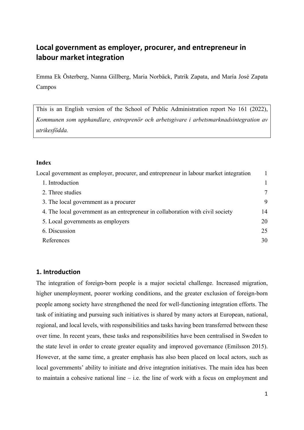## **Local government as employer, procurer, and entrepreneur in labour market integration**

Emma Ek Österberg, Nanna Gillberg, Maria Norbäck, Patrik Zapata, and María José Zapata Campos

This is an English version of the School of Public Administration report No 161 (2022), *Kommunen som upphandlare, entreprenör och arbetsgivare i arbetsmarknadsintegration av utrikesfödda.*

#### **Index**

| Local government as employer, procurer, and entrepreneur in labour market integration |    |
|---------------------------------------------------------------------------------------|----|
| 1. Introduction                                                                       |    |
| 2. Three studies                                                                      | 7  |
| 3. The local government as a procurer                                                 | 9  |
| 4. The local government as an entrepreneur in collaboration with civil society        | 14 |
| 5. Local governments as employers                                                     | 20 |
| 6. Discussion                                                                         | 25 |
| References                                                                            | 30 |

## **1. Introduction**

The integration of foreign-born people is a major societal challenge. Increased migration, higher unemployment, poorer working conditions, and the greater exclusion of foreign-born people among society have strengthened the need for well-functioning integration efforts. The task of initiating and pursuing such initiatives is shared by many actors at European, national, regional, and local levels, with responsibilities and tasks having been transferred between these over time. In recent years, these tasks and responsibilities have been centralised in Sweden to the state level in order to create greater equality and improved governance (Emilsson 2015). However, at the same time, a greater emphasis has also been placed on local actors, such as local governments' ability to initiate and drive integration initiatives. The main idea has been to maintain a cohesive national line  $-$  i.e. the line of work with a focus on employment and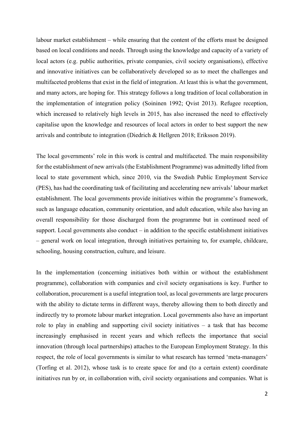labour market establishment – while ensuring that the content of the efforts must be designed based on local conditions and needs. Through using the knowledge and capacity of a variety of local actors (e.g. public authorities, private companies, civil society organisations), effective and innovative initiatives can be collaboratively developed so as to meet the challenges and multifaceted problems that exist in the field of integration. At least this is what the government, and many actors, are hoping for. This strategy follows a long tradition of local collaboration in the implementation of integration policy (Soininen 1992; Qvist 2013). Refugee reception, which increased to relatively high levels in 2015, has also increased the need to effectively capitalise upon the knowledge and resources of local actors in order to best support the new arrivals and contribute to integration (Diedrich & Hellgren 2018; Eriksson 2019).

The local governments' role in this work is central and multifaceted. The main responsibility for the establishment of new arrivals (the Establishment Programme) was admittedly lifted from local to state government which, since 2010, via the Swedish Public Employment Service (PES), has had the coordinating task of facilitating and accelerating new arrivals' labour market establishment. The local governments provide initiatives within the programme's framework, such as language education, community orientation, and adult education, while also having an overall responsibility for those discharged from the programme but in continued need of support. Local governments also conduct – in addition to the specific establishment initiatives – general work on local integration, through initiatives pertaining to, for example, childcare, schooling, housing construction, culture, and leisure.

In the implementation (concerning initiatives both within or without the establishment programme), collaboration with companies and civil society organisations is key. Further to collaboration, procurement is a useful integration tool, as local governments are large procurers with the ability to dictate terms in different ways, thereby allowing them to both directly and indirectly try to promote labour market integration. Local governments also have an important role to play in enabling and supporting civil society initiatives – a task that has become increasingly emphasised in recent years and which reflects the importance that social innovation (through local partnerships) attaches to the European Employment Strategy. In this respect, the role of local governments is similar to what research has termed 'meta-managers' (Torfing et al. 2012), whose task is to create space for and (to a certain extent) coordinate initiatives run by or, in collaboration with, civil society organisations and companies. What is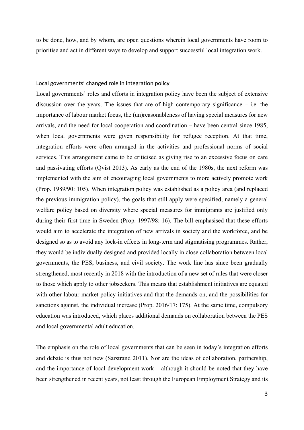to be done, how, and by whom, are open questions wherein local governments have room to prioritise and act in different ways to develop and support successful local integration work.

#### Local governments' changed role in integration policy

Local governments' roles and efforts in integration policy have been the subject of extensive discussion over the years. The issues that are of high contemporary significance  $-$  i.e. the importance of labour market focus, the (un)reasonableness of having special measures for new arrivals, and the need for local cooperation and coordination – have been central since 1985, when local governments were given responsibility for refugee reception. At that time, integration efforts were often arranged in the activities and professional norms of social services. This arrangement came to be criticised as giving rise to an excessive focus on care and passivating efforts (Qvist 2013). As early as the end of the 1980s, the next reform was implemented with the aim of encouraging local governments to more actively promote work (Prop. 1989/90: 105). When integration policy was established as a policy area (and replaced the previous immigration policy), the goals that still apply were specified, namely a general welfare policy based on diversity where special measures for immigrants are justified only during their first time in Sweden (Prop. 1997/98: 16). The bill emphasised that these efforts would aim to accelerate the integration of new arrivals in society and the workforce, and be designed so as to avoid any lock-in effects in long-term and stigmatising programmes. Rather, they would be individually designed and provided locally in close collaboration between local governments, the PES, business, and civil society. The work line has since been gradually strengthened, most recently in 2018 with the introduction of a new set of rules that were closer to those which apply to other jobseekers. This means that establishment initiatives are equated with other labour market policy initiatives and that the demands on, and the possibilities for sanctions against, the individual increase (Prop. 2016/17: 175). At the same time, compulsory education was introduced, which places additional demands on collaboration between the PES and local governmental adult education.

The emphasis on the role of local governments that can be seen in today's integration efforts and debate is thus not new (Sarstrand 2011). Nor are the ideas of collaboration, partnership, and the importance of local development work – although it should be noted that they have been strengthened in recent years, not least through the European Employment Strategy and its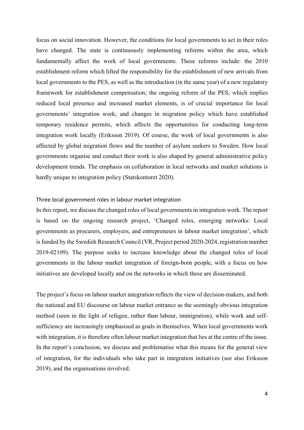focus on social innovation. However, the conditions for local governments to act in their roles have changed. The state is continuously implementing reforms within the area, which fundamentally affect the work of local governments. These reforms include: the 2010 establishment reform which lifted the responsibility for the establishment of new arrivals from local governments to the PES, as well as the introduction (in the same year) of a new regulatory framework for establishment compensation; the ongoing reform of the PES, which implies reduced local presence and increased market elements, is of crucial importance for local governments' integration work; and changes in migration policy which have established temporary residence permits, which affects the opportunities for conducting long-term integration work locally (Eriksson 2019). Of course, the work of local governments is also affected by global migration flows and the number of asylum seekers to Sweden. How local governments organise and conduct their work is also shaped by general administrative policy development trends. The emphasis on collaboration in local networks and market solutions is hardly unique to integration policy (Statskontoret 2020).

### Three local government roles in labour market integration

In this report, we discuss the changed roles of local governments in integration work. The report is based on the ongoing research project, 'Changed roles, emerging networks: Local governments as procurers, employers, and entrepreneurs in labour market integration', which is funded by the Swedish Research Council (VR, Project period 2020-2024, registration number 2019-02109). The purpose seeks to increase knowledge about the changed roles of local governments in the labour market integration of foreign-born people, with a focus on how initiatives are developed locally and on the networks in which these are disseminated.

The project's focus on labour market integration reflects the view of decision-makers, and both the national and EU discourse on labour market entrance as the seemingly obvious integration method (seen in the light of refugee, rather than labour, immigration), while work and selfsufficiency are increasingly emphasised as goals in themselves. When local governments work with integration, it is therefore often labour market integration that lies at the centre of the issue. In the report's conclusion, we discuss and problematise what this means for the general view of integration, for the individuals who take part in integration initiatives (see also Eriksson 2019), and the organisations involved.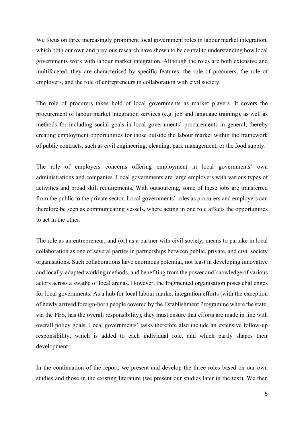We focus on three increasingly prominent local government roles in labour market integration, which both our own and previous research have shown to be central to understanding how local governments work with labour market integration. Although the roles are both extensive and multifaceted, they are characterised by specific features: the role of procurers, the role of employers, and the role of entrepreneurs in collaboration with civil society.

The role of procurers takes hold of local governments as market players. It covers the procurement of labour market integration services (e.g. job and language training), as well as methods for including social goals in local governments' procurements in general, thereby creating employment opportunities for those outside the labour market within the framework of public contracts, such as civil engineering, cleaning, park management, or the food supply.

The role of employers concerns offering employment in local governments' own administrations and companies. Local governments are large employers with various types of activities and broad skill requirements. With outsourcing, some of these jobs are transferred from the public to the private sector. Local governments' roles as procurers and employers can therefore be seen as communicating vessels, where acting in one role affects the opportunities to act in the other.

The role as an entrepreneur, and (or) as a partner with civil society, means to partake in local collaboration as one of several parties in partnerships between public, private, and civil society organisations. Such collaborations have enormous potential, not least in developing innovative and locally-adapted working methods, and benefiting from the power and knowledge of various actors across a swathe of local arenas. However, the fragmented organisation poses challenges for local governments. As a hub for local labour market integration efforts (with the exception of newly arrived foreign-born people covered by the Establishment Programme where the state, via the PES, has the overall responsibility), they must ensure that efforts are made in line with overall policy goals. Local governments' tasks therefore also include an extensive follow-up responsibility, which is added to each individual role, and which partly shapes their development.

In the continuation of the report, we present and develop the three roles based on our own studies and those in the existing literature (we present our studies later in the text). We then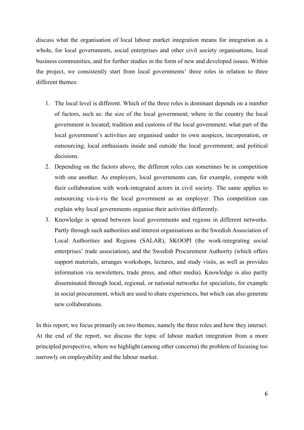discuss what the organisation of local labour market integration means for integration as a whole, for local governments, social enterprises and other civil society organisations, local business communities, and for further studies in the form of new and developed issues. Within the project, we consistently start from local governments' three roles in relation to three different themes:

- 1. The local level is different. Which of the three roles is dominant depends on a number of factors, such as: the size of the local government; where in the country the local government is located; tradition and customs of the local government; what part of the local government's activities are organised under its own auspices, incorporation, or outsourcing; local enthusiasts inside and outside the local government; and political decisions.
- 2. Depending on the factors above, the different roles can sometimes be in competition with one another. As employers, local governments can, for example, compete with their collaboration with work-integrated actors in civil society. The same applies to outsourcing vis-à-vis the local government as an employer. This competition can explain why local governments organise their activities differently.
- 3. Knowledge is spread between local governments and regions in different networks. Partly through such authorities and interest organisations as the Swedish Association of Local Authorities and Regions (SALAR), SKOOPI (the work-integrating social enterprises' trade association), and the Swedish Procurement Authority (which offers support materials, arranges workshops, lectures, and study visits, as well as provides information via newsletters, trade press, and other media). Knowledge is also partly disseminated through local, regional, or national networks for specialists, for example in social procurement, which are used to share experiences, but which can also generate new collaborations.

In this report, we focus primarily on two themes, namely the three roles and how they interact. At the end of the report, we discuss the topic of labour market integration from a more principled perspective, where we highlight (among other concerns) the problem of focusing too narrowly on employability and the labour market.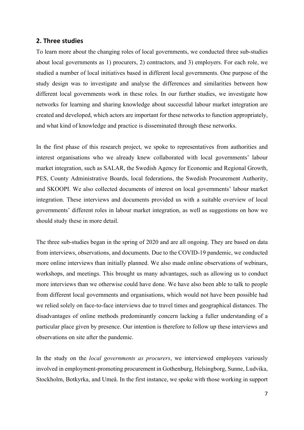#### **2. Three studies**

To learn more about the changing roles of local governments, we conducted three sub-studies about local governments as 1) procurers, 2) contractors, and 3) employers. For each role, we studied a number of local initiatives based in different local governments. One purpose of the study design was to investigate and analyse the differences and similarities between how different local governments work in these roles. In our further studies, we investigate how networks for learning and sharing knowledge about successful labour market integration are created and developed, which actors are important for these networks to function appropriately, and what kind of knowledge and practice is disseminated through these networks.

In the first phase of this research project, we spoke to representatives from authorities and interest organisations who we already knew collaborated with local governments' labour market integration, such as SALAR, the Swedish Agency for Economic and Regional Growth, PES, County Administrative Boards, local federations, the Swedish Procurement Authority, and SKOOPI. We also collected documents of interest on local governments' labour market integration. These interviews and documents provided us with a suitable overview of local governments' different roles in labour market integration, as well as suggestions on how we should study these in more detail.

The three sub-studies began in the spring of 2020 and are all ongoing. They are based on data from interviews, observations, and documents. Due to the COVID-19 pandemic, we conducted more online interviews than initially planned. We also made online observations of webinars, workshops, and meetings. This brought us many advantages, such as allowing us to conduct more interviews than we otherwise could have done. We have also been able to talk to people from different local governments and organisations, which would not have been possible had we relied solely on face-to-face interviews due to travel times and geographical distances. The disadvantages of online methods predominantly concern lacking a fuller understanding of a particular place given by presence. Our intention is therefore to follow up these interviews and observations on site after the pandemic.

In the study on the *local governments as procurers*, we interviewed employees variously involved in employment-promoting procurement in Gothenburg, Helsingborg, Sunne, Ludvika, Stockholm, Botkyrka, and Umeå. In the first instance, we spoke with those working in support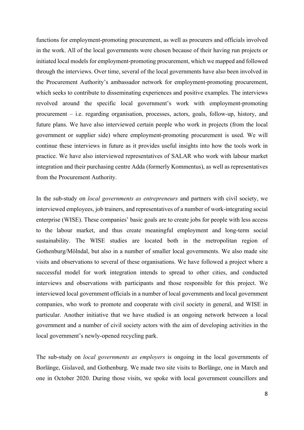functions for employment-promoting procurement, as well as procurers and officials involved in the work. All of the local governments were chosen because of their having run projects or initiated local models for employment-promoting procurement, which we mapped and followed through the interviews. Over time, several of the local governments have also been involved in the Procurement Authority's ambassador network for employment-promoting procurement, which seeks to contribute to disseminating experiences and positive examples. The interviews revolved around the specific local government's work with employment-promoting procurement – i.e. regarding organisation, processes, actors, goals, follow-up, history, and future plans. We have also interviewed certain people who work in projects (from the local government or supplier side) where employment-promoting procurement is used. We will continue these interviews in future as it provides useful insights into how the tools work in practice. We have also interviewed representatives of SALAR who work with labour market integration and their purchasing centre Adda (formerly Kommentus), as well as representatives from the Procurement Authority.

In the sub-study on *local governments as entrepreneurs* and partners with civil society, we interviewed employees, job trainers, and representatives of a number of work-integrating social enterprise (WISE). These companies' basic goals are to create jobs for people with less access to the labour market, and thus create meaningful employment and long-term social sustainability. The WISE studies are located both in the metropolitan region of Gothenburg/Mölndal, but also in a number of smaller local governments. We also made site visits and observations to several of these organisations. We have followed a project where a successful model for work integration intends to spread to other cities, and conducted interviews and observations with participants and those responsible for this project. We interviewed local government officials in a number of local governments and local government companies, who work to promote and cooperate with civil society in general, and WISE in particular. Another initiative that we have studied is an ongoing network between a local government and a number of civil society actors with the aim of developing activities in the local government's newly-opened recycling park.

The sub-study on *local governments as employers* is ongoing in the local governments of Borlänge, Gislaved, and Gothenburg. We made two site visits to Borlänge, one in March and one in October 2020. During those visits, we spoke with local government councillors and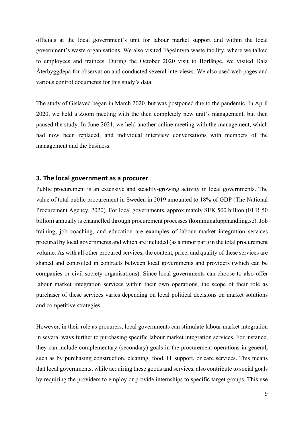officials at the local government's unit for labour market support and within the local government's waste organisations. We also visited Fågelmyra waste facility, where we talked to employees and trainees. During the October 2020 visit to Borlänge, we visited Dala Återbyggdepå for observation and conducted several interviews. We also used web pages and various control documents for this study's data.

The study of Gislaved began in March 2020, but was postponed due to the pandemic. In April 2020, we held a Zoom meeting with the then completely new unit's management, but then paused the study. In June 2021, we held another online meeting with the management, which had now been replaced, and individual interview conversations with members of the management and the business.

#### **3. The local government as a procurer**

Public procurement is an extensive and steadily-growing activity in local governments. The value of total public procurement in Sweden in 2019 amounted to 18% of GDP (The National Procurement Agency, 2020). For local governments, approximately SEK 500 billion (EUR 50 billion) annually is channelled through procurement processes (kommunalupphandling.se). Job training, job coaching, and education are examples of labour market integration services procured by local governments and which are included (as a minor part) in the total procurement volume. As with all other procured services, the content, price, and quality of these services are shaped and controlled in contracts between local governments and providers (which can be companies or civil society organisations). Since local governments can choose to also offer labour market integration services within their own operations, the scope of their role as purchaser of these services varies depending on local political decisions on market solutions and competitive strategies.

However, in their role as procurers, local governments can stimulate labour market integration in several ways further to purchasing specific labour market integration services. For instance, they can include complementary (secondary) goals in the procurement operations in general, such as by purchasing construction, cleaning, food, IT support, or care services. This means that local governments, while acquiring these goods and services, also contribute to social goals by requiring the providers to employ or provide internships to specific target groups. This use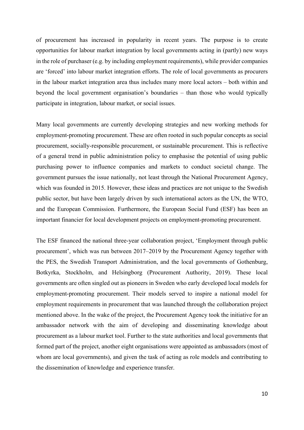of procurement has increased in popularity in recent years. The purpose is to create opportunities for labour market integration by local governments acting in (partly) new ways in the role of purchaser (e.g. by including employment requirements), while provider companies are 'forced' into labour market integration efforts. The role of local governments as procurers in the labour market integration area thus includes many more local actors – both within and beyond the local government organisation's boundaries – than those who would typically participate in integration, labour market, or social issues.

Many local governments are currently developing strategies and new working methods for employment-promoting procurement. These are often rooted in such popular concepts as social procurement, socially-responsible procurement, or sustainable procurement. This is reflective of a general trend in public administration policy to emphasise the potential of using public purchasing power to influence companies and markets to conduct societal change. The government pursues the issue nationally, not least through the National Procurement Agency, which was founded in 2015. However, these ideas and practices are not unique to the Swedish public sector, but have been largely driven by such international actors as the UN, the WTO, and the European Commission. Furthermore, the European Social Fund (ESF) has been an important financier for local development projects on employment-promoting procurement.

The ESF financed the national three-year collaboration project, 'Employment through public procurement', which was run between 2017–2019 by the Procurement Agency together with the PES, the Swedish Transport Administration, and the local governments of Gothenburg, Botkyrka, Stockholm, and Helsingborg (Procurement Authority, 2019). These local governments are often singled out as pioneers in Sweden who early developed local models for employment-promoting procurement. Their models served to inspire a national model for employment requirements in procurement that was launched through the collaboration project mentioned above. In the wake of the project, the Procurement Agency took the initiative for an ambassador network with the aim of developing and disseminating knowledge about procurement as a labour market tool. Further to the state authorities and local governments that formed part of the project, another eight organisations were appointed as ambassadors (most of whom are local governments), and given the task of acting as role models and contributing to the dissemination of knowledge and experience transfer.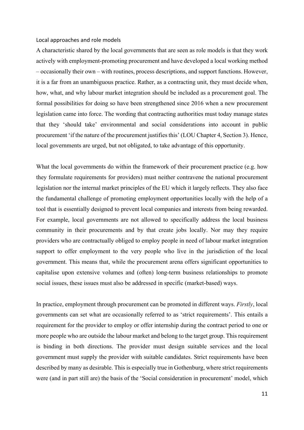Local approaches and role models

A characteristic shared by the local governments that are seen as role models is that they work actively with employment-promoting procurement and have developed a local working method – occasionally their own – with routines, process descriptions, and support functions. However, it is a far from an unambiguous practice. Rather, as a contracting unit, they must decide when, how, what, and why labour market integration should be included as a procurement goal. The formal possibilities for doing so have been strengthened since 2016 when a new procurement legislation came into force. The wording that contracting authorities must today manage states that they 'should take' environmental and social considerations into account in public procurement 'if the nature of the procurement justifies this' (LOU Chapter 4, Section 3). Hence, local governments are urged, but not obligated, to take advantage of this opportunity.

What the local governments do within the framework of their procurement practice (e.g. how they formulate requirements for providers) must neither contravene the national procurement legislation nor the internal market principles of the EU which it largely reflects. They also face the fundamental challenge of promoting employment opportunities locally with the help of a tool that is essentially designed to prevent local companies and interests from being rewarded. For example, local governments are not allowed to specifically address the local business community in their procurements and by that create jobs locally. Nor may they require providers who are contractually obliged to employ people in need of labour market integration support to offer employment to the very people who live in the jurisdiction of the local government. This means that, while the procurement arena offers significant opportunities to capitalise upon extensive volumes and (often) long-term business relationships to promote social issues, these issues must also be addressed in specific (market-based) ways.

In practice, employment through procurement can be promoted in different ways. *Firstly*, local governments can set what are occasionally referred to as 'strict requirements'. This entails a requirement for the provider to employ or offer internship during the contract period to one or more people who are outside the labour market and belong to the target group. This requirement is binding in both directions. The provider must design suitable services and the local government must supply the provider with suitable candidates. Strict requirements have been described by many as desirable. This is especially true in Gothenburg, where strict requirements were (and in part still are) the basis of the 'Social consideration in procurement' model, which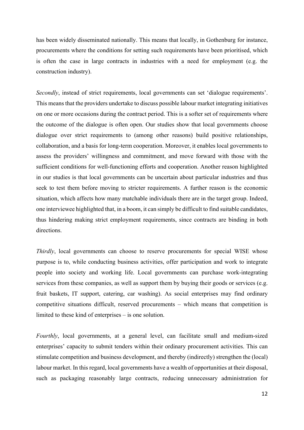has been widely disseminated nationally. This means that locally, in Gothenburg for instance, procurements where the conditions for setting such requirements have been prioritised, which is often the case in large contracts in industries with a need for employment (e.g. the construction industry).

*Secondly*, instead of strict requirements, local governments can set 'dialogue requirements'. This means that the providers undertake to discuss possible labour market integrating initiatives on one or more occasions during the contract period. This is a softer set of requirements where the outcome of the dialogue is often open. Our studies show that local governments choose dialogue over strict requirements to (among other reasons) build positive relationships, collaboration, and a basis for long-term cooperation. Moreover, it enables local governments to assess the providers' willingness and commitment, and move forward with those with the sufficient conditions for well-functioning efforts and cooperation. Another reason highlighted in our studies is that local governments can be uncertain about particular industries and thus seek to test them before moving to stricter requirements. A further reason is the economic situation, which affects how many matchable individuals there are in the target group. Indeed, one interviewee highlighted that, in a boom, it can simply be difficult to find suitable candidates, thus hindering making strict employment requirements, since contracts are binding in both directions.

*Thirdly*, local governments can choose to reserve procurements for special WISE whose purpose is to, while conducting business activities, offer participation and work to integrate people into society and working life. Local governments can purchase work-integrating services from these companies, as well as support them by buying their goods or services (e.g. fruit baskets, IT support, catering, car washing). As social enterprises may find ordinary competitive situations difficult, reserved procurements – which means that competition is limited to these kind of enterprises – is one solution.

*Fourthly*, local governments, at a general level, can facilitate small and medium-sized enterprises' capacity to submit tenders within their ordinary procurement activities. This can stimulate competition and business development, and thereby (indirectly) strengthen the (local) labour market. In this regard, local governments have a wealth of opportunities at their disposal, such as packaging reasonably large contracts, reducing unnecessary administration for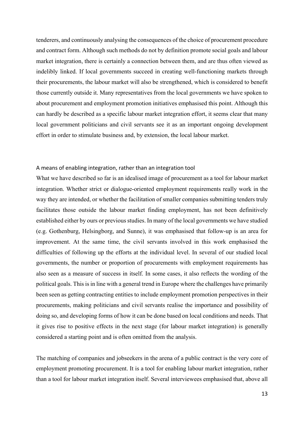tenderers, and continuously analysing the consequences of the choice of procurement procedure and contract form. Although such methods do not by definition promote social goals and labour market integration, there is certainly a connection between them, and are thus often viewed as indelibly linked. If local governments succeed in creating well-functioning markets through their procurements, the labour market will also be strengthened, which is considered to benefit those currently outside it. Many representatives from the local governments we have spoken to about procurement and employment promotion initiatives emphasised this point. Although this can hardly be described as a specific labour market integration effort, it seems clear that many local government politicians and civil servants see it as an important ongoing development effort in order to stimulate business and, by extension, the local labour market.

#### A means of enabling integration, rather than an integration tool

What we have described so far is an idealised image of procurement as a tool for labour market integration. Whether strict or dialogue-oriented employment requirements really work in the way they are intended, or whether the facilitation of smaller companies submitting tenders truly facilitates those outside the labour market finding employment, has not been definitively established either by ours or previous studies. In many of the local governments we have studied (e.g. Gothenburg, Helsingborg, and Sunne), it was emphasised that follow-up is an area for improvement. At the same time, the civil servants involved in this work emphasised the difficulties of following up the efforts at the individual level. In several of our studied local governments, the number or proportion of procurements with employment requirements has also seen as a measure of success in itself. In some cases, it also reflects the wording of the political goals. This is in line with a general trend in Europe where the challenges have primarily been seen as getting contracting entities to include employment promotion perspectives in their procurements, making politicians and civil servants realise the importance and possibility of doing so, and developing forms of how it can be done based on local conditions and needs. That it gives rise to positive effects in the next stage (for labour market integration) is generally considered a starting point and is often omitted from the analysis.

The matching of companies and jobseekers in the arena of a public contract is the very core of employment promoting procurement. It is a tool for enabling labour market integration, rather than a tool for labour market integration itself. Several interviewees emphasised that, above all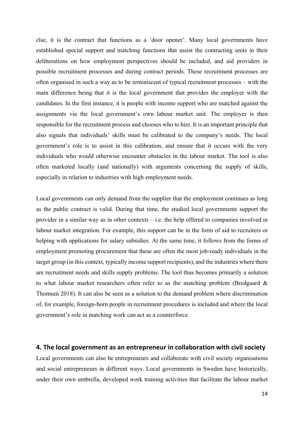else, it is the contract that functions as a 'door opener'. Many local governments have established special support and matching functions that assist the contracting units in their deliberations on how employment perspectives should be included, and aid providers in possible recruitment processes and during contract periods. These recruitment processes are often organised in such a way as to be reminiscent of typical recruitment processes – with the main difference being that it is the local government that provides the employer with the candidates. In the first instance, it is people with income support who are matched against the assignments via the local government's own labour market unit. The employer is then responsible for the recruitment process and chooses who to hire. It is an important principle that also signals that individuals' skills must be calibrated to the company's needs. The local government's role is to assist in this calibration, and ensure that it occurs with the very individuals who would otherwise encounter obstacles in the labour market. The tool is also often marketed locally (and nationally) with arguments concerning the supply of skills, especially in relation to industries with high employment needs.

Local governments can only demand from the supplier that the employment continues as long as the public contract is valid. During that time, the studied local governments support the provider in a similar way as in other contexts – i.e. the help offered to companies involved in labour market integration. For example, this support can be in the form of aid to recruiters or helping with applications for salary subsidies. At the same time, it follows from the forms of employment promoting procurement that these are often the most job-ready individuals in the target group (in this context, typically income support recipients), and the industries where there are recruitment needs and skills supply problems. The tool thus becomes primarily a solution to what labour market researchers often refer to as the matching problem (Bredgaard & Thomsen 2018). It can also be seen as a solution to the demand problem where discrimination of, for example, foreign-born people in recruitment procedures is included and where the local government's role in matching work can act as a counterforce.

#### **4. The local government as an entrepreneur in collaboration with civil society**

Local governments can also be entrepreneurs and collaborate with civil society organisations and social entrepreneurs in different ways. Local governments in Sweden have historically, under their own umbrella, developed work training activities that facilitate the labour market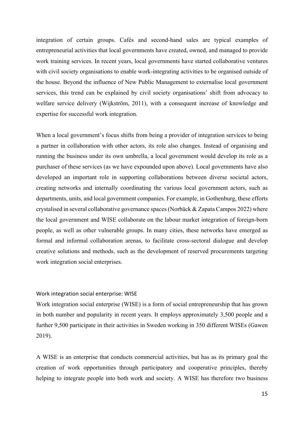integration of certain groups. Cafés and second-hand sales are typical examples of entrepreneurial activities that local governments have created, owned, and managed to provide work training services. In recent years, local governments have started collaborative ventures with civil society organisations to enable work-integrating activities to be organised outside of the house. Beyond the influence of New Public Management to externalise local government services, this trend can be explained by civil society organisations' shift from advocacy to welfare service delivery (Wijkström, 2011), with a consequent increase of knowledge and expertise for successful work integration.

When a local government's focus shifts from being a provider of integration services to being a partner in collaboration with other actors, its role also changes. Instead of organising and running the business under its own umbrella, a local government would develop its role as a purchaser of these services (as we have expounded upon above). Local governments have also developed an important role in supporting collaborations between diverse societal actors, creating networks and internally coordinating the various local government actors, such as departments, units, and local government companies. For example, in Gothenburg, these efforts crystalised in several collaborative governance spaces (Norbäck & Zapata Campos 2022) where the local government and WISE collaborate on the labour market integration of foreign-born people, as well as other vulnerable groups. In many cities, these networks have emerged as formal and informal collaboration arenas, to facilitate cross-sectoral dialogue and develop creative solutions and methods, such as the development of reserved procurements targeting work integration social enterprises.

#### Work integration social enterprise: WISE

Work integration social enterprise (WISE) is a form of social entrepreneurship that has grown in both number and popularity in recent years. It employs approximately 3,500 people and a further 9,500 participate in their activities in Sweden working in 350 different WISEs (Gawen 2019).

A WISE is an enterprise that conducts commercial activities, but has as its primary goal the creation of work opportunities through participatory and cooperative principles, thereby helping to integrate people into both work and society. A WISE has therefore two business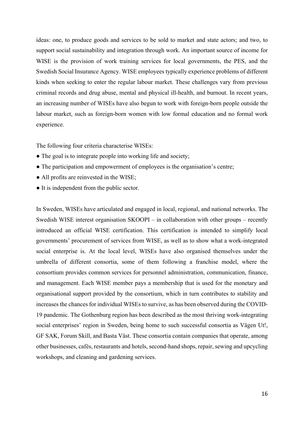ideas: one, to produce goods and services to be sold to market and state actors; and two, to support social sustainability and integration through work. An important source of income for WISE is the provision of work training services for local governments, the PES, and the Swedish Social Insurance Agency. WISE employees typically experience problems of different kinds when seeking to enter the regular labour market. These challenges vary from previous criminal records and drug abuse, mental and physical ill-health, and burnout. In recent years, an increasing number of WISEs have also begun to work with foreign-born people outside the labour market, such as foreign-born women with low formal education and no formal work experience.

The following four criteria characterise WISEs:

- The goal is to integrate people into working life and society;
- The participation and empowerment of employees is the organisation's centre;
- All profits are reinvested in the WISE;
- It is independent from the public sector.

In Sweden, WISEs have articulated and engaged in local, regional, and national networks. The Swedish WISE interest organisation SKOOPI – in collaboration with other groups – recently introduced an official WISE certification. This certification is intended to simplify local governments' procurement of services from WISE, as well as to show what a work-integrated social enterprise is. At the local level, WISEs have also organised themselves under the umbrella of different consortia, some of them following a franchise model, where the consortium provides common services for personnel administration, communication, finance, and management. Each WISE member pays a membership that is used for the monetary and organisational support provided by the consortium, which in turn contributes to stability and increases the chances for individual WISEs to survive, as has been observed during the COVID-19 pandemic. The Gothenburg region has been described as the most thriving work-integrating social enterprises' region in Sweden, being home to such successful consortia as Vägen Ut!, GF SAK, Forum Skill, and Basta Väst. These consortia contain companies that operate, among other businesses, cafés, restaurants and hotels, second-hand shops, repair, sewing and upcycling workshops, and cleaning and gardening services.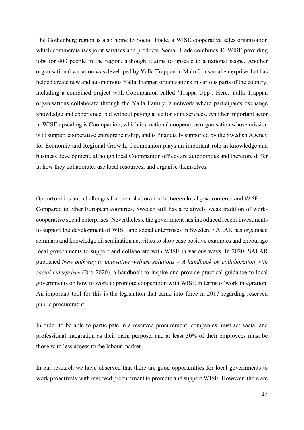The Gothenburg region is also home to Social Trade, a WISE cooperative sales organisation which commercialises joint services and products. Social Trade combines 40 WISE providing jobs for 400 people in the region, although it aims to upscale to a national scope. Another organisational variation was developed by Yalla Trappan in Malmö, a social enterprise that has helped create new and autonomous Yalla Trappan organisations in various parts of the country, including a combined project with Coompanion called 'Trappa Upp'. Here, Yalla Trappan organisations collaborate through the Yalla Family, a network where participants exchange knowledge and experience, but without paying a fee for joint services. Another important actor in WISE upscaling is Coompanion, which is a national cooperative organisation whose mission is to support cooperative entrepreneurship, and is financially supported by the Swedish Agency for Economic and Regional Growth. Coompanion plays an important role in knowledge and business development, although local Coompanion offices are autonomous and therefore differ in how they collaborate, use local resources, and organise themselves.

Opportunities and challenges for the collaboration between local governments and WISE Compared to other European countries, Sweden still has a relatively weak tradition of workcooperative social enterprises. Nevertheless, the government has introduced recent investments to support the development of WISE and social enterprises in Sweden. SALAR has organised seminars and knowledge dissemination activities to showcase positive examples and encourage local governments to support and collaborate with WISE in various ways. In 2020, SALAR published *New pathway to innovative welfare solutions – A handbook on collaboration with social enterprises* (Bro 2020), a handbook to inspire and provide practical guidance to local governments on how to work to promote cooperation with WISE in terms of work integration. An important tool for this is the legislation that came into force in 2017 regarding reserved public procurement.

In order to be able to participate in a reserved procurement, companies must set social and professional integration as their main purpose, and at least 30% of their employees must be those with less access to the labour market.

In our research we have observed that there are good opportunities for local governments to work proactively with reserved procurement to promote and support WISE. However, there are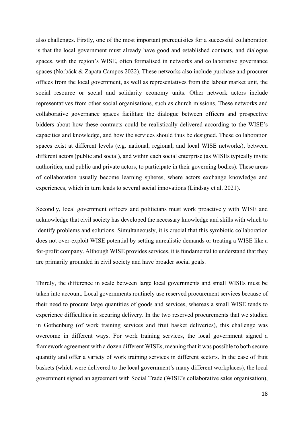also challenges. Firstly, one of the most important prerequisites for a successful collaboration is that the local government must already have good and established contacts, and dialogue spaces, with the region's WISE, often formalised in networks and collaborative governance spaces (Norbäck & Zapata Campos 2022). These networks also include purchase and procurer offices from the local government, as well as representatives from the labour market unit, the social resource or social and solidarity economy units. Other network actors include representatives from other social organisations, such as church missions. These networks and collaborative governance spaces facilitate the dialogue between officers and prospective bidders about how these contracts could be realistically delivered according to the WISE's capacities and knowledge, and how the services should thus be designed. These collaboration spaces exist at different levels (e.g. national, regional, and local WISE networks), between different actors (public and social), and within each social enterprise (as WISEs typically invite authorities, and public and private actors, to participate in their governing bodies). These areas of collaboration usually become learning spheres, where actors exchange knowledge and experiences, which in turn leads to several social innovations (Lindsay et al. 2021).

Secondly, local government officers and politicians must work proactively with WISE and acknowledge that civil society has developed the necessary knowledge and skills with which to identify problems and solutions. Simultaneously, it is crucial that this symbiotic collaboration does not over-exploit WISE potential by setting unrealistic demands or treating a WISE like a for-profit company. Although WISE provides services, it is fundamental to understand that they are primarily grounded in civil society and have broader social goals.

Thirdly, the difference in scale between large local governments and small WISEs must be taken into account. Local governments routinely use reserved procurement services because of their need to procure large quantities of goods and services, whereas a small WISE tends to experience difficulties in securing delivery. In the two reserved procurements that we studied in Gothenburg (of work training services and fruit basket deliveries), this challenge was overcome in different ways. For work training services, the local government signed a framework agreement with a dozen different WISEs, meaning that it was possible to both secure quantity and offer a variety of work training services in different sectors. In the case of fruit baskets (which were delivered to the local government's many different workplaces), the local government signed an agreement with Social Trade (WISE's collaborative sales organisation),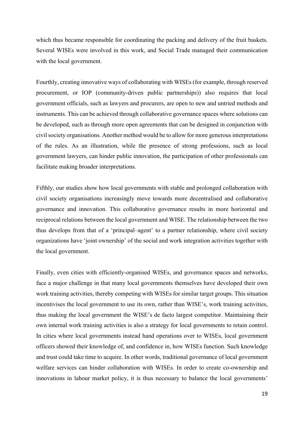which thus became responsible for coordinating the packing and delivery of the fruit baskets. Several WISEs were involved in this work, and Social Trade managed their communication with the local government.

Fourthly, creating innovative ways of collaborating with WISEs (for example, through reserved procurement, or IOP (community-driven public partnerships)) also requires that local government officials, such as lawyers and procurers, are open to new and untried methods and instruments. This can be achieved through collaborative governance spaces where solutions can be developed, such as through more open agreements that can be designed in conjunction with civil society organisations. Another method would be to allow for more generous interpretations of the rules. As an illustration, while the presence of strong professions, such as local government lawyers, can hinder public innovation, the participation of other professionals can facilitate making broader interpretations.

Fifthly, our studies show how local governments with stable and prolonged collaboration with civil society organisations increasingly move towards more decentralised and collaborative governance and innovation. This collaborative governance results in more horizontal and reciprocal relations between the local government and WISE. The relationship between the two thus develops from that of a 'principal–agent' to a partner relationship, where civil society organizations have 'joint ownership' of the social and work integration activities together with the local government.

Finally, even cities with efficiently-organised WISEs, and governance spaces and networks, face a major challenge in that many local governments themselves have developed their own work training activities, thereby competing with WISEs for similar target groups. This situation incentivises the local government to use its own, rather than WISE's, work training activities, thus making the local government the WISE's de facto largest competitor. Maintaining their own internal work training activities is also a strategy for local governments to retain control. In cities where local governments instead hand operations over to WISEs, local government officers showed their knowledge of, and confidence in, how WISEs function. Such knowledge and trust could take time to acquire. In other words, traditional governance of local government welfare services can hinder collaboration with WISEs. In order to create co-ownership and innovations in labour market policy, it is thus necessary to balance the local governments'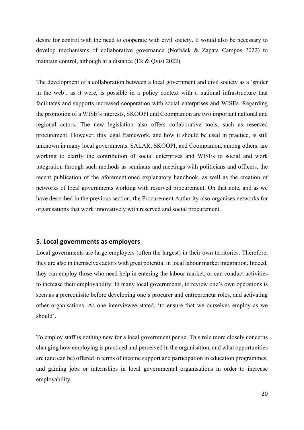desire for control with the need to cooperate with civil society. It would also be necessary to develop mechanisms of collaborative governance (Norbäck & Zapata Campos 2022) to maintain control, although at a distance (Ek & Qvist 2022).

The development of a collaboration between a local government and civil society as a 'spider in the web', as it were, is possible in a policy context with a national infrastructure that facilitates and supports increased cooperation with social enterprises and WISEs. Regarding the promotion of a WISE's interests, SKOOPI and Coompanion are two important national and regional actors. The new legislation also offers collaborative tools, such as reserved procurement. However, this legal framework, and how it should be used in practice, is still unknown in many local governments. SALAR, SKOOPI, and Coompanion, among others, are working to clarify the contribution of social enterprises and WISEs to social and work integration through such methods as seminars and meetings with politicians and officers, the recent publication of the aforementioned explanatory handbook, as well as the creation of networks of local governments working with reserved procurement. On that note, and as we have described in the previous section, the Procurement Authority also organises networks for organisations that work innovatively with reserved and social procurement.

#### **5. Local governments as employers**

Local governments are large employers (often the largest) in their own territories. Therefore, they are also in themselves actors with great potential in local labour market integration. Indeed, they can employ those who need help in entering the labour market, or can conduct activities to increase their employability. In many local governments, to review one's own operations is seen as a prerequisite before developing one's procurer and entrepreneur roles, and activating other organisations. As one interviewee stated, 'to ensure that we ourselves employ as we should'.

To employ staff is nothing new for a local government per se. This role more closely concerns changing how employing is practiced and perceived in the organisation, and what opportunities are (and can be) offered in terms of income support and participation in education programmes, and gaining jobs or internships in local governmental organisations in order to increase employability.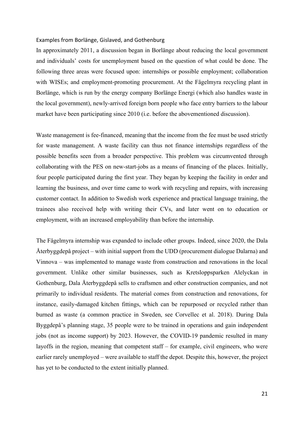#### Examples from Borlänge, Gislaved, and Gothenburg

In approximately 2011, a discussion began in Borlänge about reducing the local government and individuals' costs for unemployment based on the question of what could be done. The following three areas were focused upon: internships or possible employment; collaboration with WISEs; and employment-promoting procurement. At the Fågelmyra recycling plant in Borlänge, which is run by the energy company Borlänge Energi (which also handles waste in the local government), newly-arrived foreign born people who face entry barriers to the labour market have been participating since 2010 (i.e. before the abovementioned discussion).

Waste management is fee-financed, meaning that the income from the fee must be used strictly for waste management. A waste facility can thus not finance internships regardless of the possible benefits seen from a broader perspective. This problem was circumvented through collaborating with the PES on new-start-jobs as a means of financing of the places. Initially, four people participated during the first year. They began by keeping the facility in order and learning the business, and over time came to work with recycling and repairs, with increasing customer contact. In addition to Swedish work experience and practical language training, the trainees also received help with writing their CVs, and later went on to education or employment, with an increased employability than before the internship.

The Fågelmyra internship was expanded to include other groups. Indeed, since 2020, the Dala Återbyggdepå project – with initial support from the UDD (procurement dialogue Dalarna) and Vinnova – was implemented to manage waste from construction and renovations in the local government. Unlike other similar businesses, such as Kretsloppsparken Alelyckan in Gothenburg, Dala Återbyggdepå sells to craftsmen and other construction companies, and not primarily to individual residents. The material comes from construction and renovations, for instance, easily-damaged kitchen fittings, which can be repurposed or recycled rather than burned as waste (a common practice in Sweden, see Corvellec et al. 2018). During Dala Byggdepå's planning stage, 35 people were to be trained in operations and gain independent jobs (not as income support) by 2023. However, the COVID-19 pandemic resulted in many layoffs in the region, meaning that competent staff – for example, civil engineers, who were earlier rarely unemployed – were available to staff the depot. Despite this, however, the project has yet to be conducted to the extent initially planned.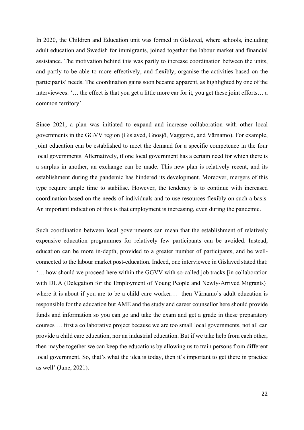In 2020, the Children and Education unit was formed in Gislaved, where schools, including adult education and Swedish for immigrants, joined together the labour market and financial assistance. The motivation behind this was partly to increase coordination between the units, and partly to be able to more effectively, and flexibly, organise the activities based on the participants' needs. The coordination gains soon became apparent, as highlighted by one of the interviewees: '… the effect is that you get a little more ear for it, you get these joint efforts… a common territory'.

Since 2021, a plan was initiated to expand and increase collaboration with other local governments in the GGVV region (Gislaved, Gnosjö, Vaggeryd, and Värnamo). For example, joint education can be established to meet the demand for a specific competence in the four local governments. Alternatively, if one local government has a certain need for which there is a surplus in another, an exchange can be made. This new plan is relatively recent, and its establishment during the pandemic has hindered its development. Moreover, mergers of this type require ample time to stabilise. However, the tendency is to continue with increased coordination based on the needs of individuals and to use resources flexibly on such a basis. An important indication of this is that employment is increasing, even during the pandemic.

Such coordination between local governments can mean that the establishment of relatively expensive education programmes for relatively few participants can be avoided. Instead, education can be more in-depth, provided to a greater number of participants, and be wellconnected to the labour market post-education. Indeed, one interviewee in Gislaved stated that: '… how should we proceed here within the GGVV with so-called job tracks [in collaboration with DUA (Delegation for the Employment of Young People and Newly-Arrived Migrants)] where it is about if you are to be a child care worker… then Värnamo's adult education is responsible for the education but AME and the study and career counsellor here should provide funds and information so you can go and take the exam and get a grade in these preparatory courses … first a collaborative project because we are too small local governments, not all can provide a child care education, nor an industrial education. But if we take help from each other, then maybe together we can keep the educations by allowing us to train persons from different local government. So, that's what the idea is today, then it's important to get there in practice as well' (June, 2021).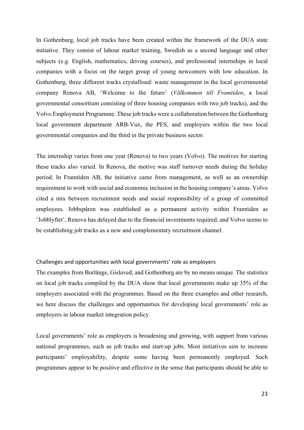In Gothenburg, local job tracks have been created within the framework of the DUA state initiative. They consist of labour market training, Swedish as a second language and other subjects (e.g. English, mathematics, driving courses), and professional internships in local companies with a focus on the target group of young newcomers with low education. In Gothenburg, three different tracks crystallised: waste management in the local governmental company Renova AB, 'Welcome to the future' (*Välkommen till Framtiden*, a local governmental consortium consisting of three housing companies with two job tracks), and the Volvo Employment Programme. These job tracks were a collaboration between the Gothenburg local government department ARB-Vux, the PES, and employers within the two local governmental companies and the third in the private business sector.

The internship varies from one year (Renova) to two years (Volvo). The motives for starting these tracks also varied. In Renova, the motive was staff turnover needs during the holiday period. In Framtiden AB, the initiative came from management, as well as an ownership requirement to work with social and economic inclusion in the housing company's areas. Volvo cited a mix between recruitment needs and social responsibility of a group of committed employees. Jobbspåren was established as a permanent activity within Framtiden as 'Jobblyftet', Renova has delayed due to the financial investments required, and Volvo seems to be establishing job tracks as a new and complementary recruitment channel.

#### Challenges and opportunities with local governments' role as employers

The examples from Borlänge, Gislaved, and Gothenburg are by no means unique. The statistics on local job tracks compiled by the DUA show that local governments make up 35% of the employers associated with the programmes. Based on the three examples and other research, we here discuss the challenges and opportunities for developing local governments' role as employers in labour market integration policy.

Local governments' role as employers is broadening and growing, with support from various national programmes, such as job tracks and start-up jobs. Most initiatives aim to increase participants' employability, despite some having been permanently employed. Such programmes appear to be positive and effective in the sense that participants should be able to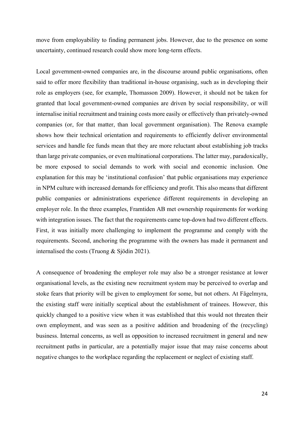move from employability to finding permanent jobs. However, due to the presence on some uncertainty, continued research could show more long-term effects.

Local government-owned companies are, in the discourse around public organisations, often said to offer more flexibility than traditional in-house organising, such as in developing their role as employers (see, for example, Thomasson 2009). However, it should not be taken for granted that local government-owned companies are driven by social responsibility, or will internalise initial recruitment and training costs more easily or effectively than privately-owned companies (or, for that matter, than local government organisation). The Renova example shows how their technical orientation and requirements to efficiently deliver environmental services and handle fee funds mean that they are more reluctant about establishing job tracks than large private companies, or even multinational corporations. The latter may, paradoxically, be more exposed to social demands to work with social and economic inclusion. One explanation for this may be 'institutional confusion' that public organisations may experience in NPM culture with increased demands for efficiency and profit. This also means that different public companies or administrations experience different requirements in developing an employer role. In the three examples, Framtiden AB met ownership requirements for working with integration issues. The fact that the requirements came top-down had two different effects. First, it was initially more challenging to implement the programme and comply with the requirements. Second, anchoring the programme with the owners has made it permanent and internalised the costs (Truong & Sjödin 2021).

A consequence of broadening the employer role may also be a stronger resistance at lower organisational levels, as the existing new recruitment system may be perceived to overlap and stoke fears that priority will be given to employment for some, but not others. At Fågelmyra, the existing staff were initially sceptical about the establishment of trainees. However, this quickly changed to a positive view when it was established that this would not threaten their own employment, and was seen as a positive addition and broadening of the (recycling) business. Internal concerns, as well as opposition to increased recruitment in general and new recruitment paths in particular, are a potentially major issue that may raise concerns about negative changes to the workplace regarding the replacement or neglect of existing staff.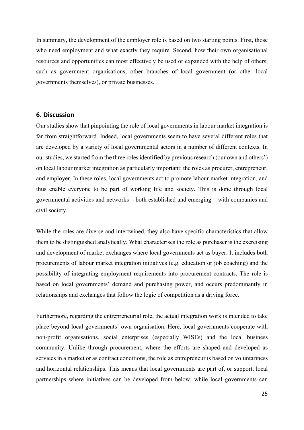In summary, the development of the employer role is based on two starting points. First, those who need employment and what exactly they require. Second, how their own organisational resources and opportunities can most effectively be used or expanded with the help of others, such as government organisations, other branches of local government (or other local governments themselves), or private businesses.

#### **6. Discussion**

Our studies show that pinpointing the role of local governments in labour market integration is far from straightforward. Indeed, local governments seem to have several different roles that are developed by a variety of local governmental actors in a number of different contexts. In our studies, we started from the three roles identified by previous research (our own and others') on local labour market integration as particularly important: the roles as procurer, entrepreneur, and employer. In these roles, local governments act to promote labour market integration, and thus enable everyone to be part of working life and society. This is done through local governmental activities and networks – both established and emerging – with companies and civil society.

While the roles are diverse and intertwined, they also have specific characteristics that allow them to be distinguished analytically. What characterises the role as purchaser is the exercising and development of market exchanges where local governments act as buyer. It includes both procurements of labour market integration initiatives (e.g. education or job coaching) and the possibility of integrating employment requirements into procurement contracts. The role is based on local governments' demand and purchasing power, and occurs predominantly in relationships and exchanges that follow the logic of competition as a driving force.

Furthermore, regarding the entrepreneurial role, the actual integration work is intended to take place beyond local governments' own organisation. Here, local governments cooperate with non-profit organisations, social enterprises (especially WISEs) and the local business community. Unlike through procurement, where the efforts are shaped and developed as services in a market or as contract conditions, the role as entrepreneur is based on voluntariness and horizontal relationships. This means that local governments are part of, or support, local partnerships where initiatives can be developed from below, while local governments can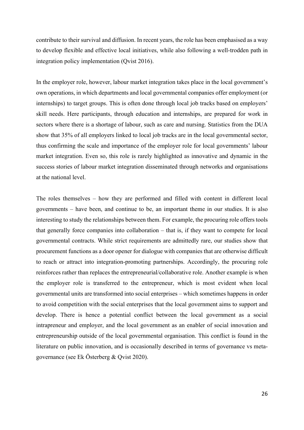contribute to their survival and diffusion. In recent years, the role has been emphasised as a way to develop flexible and effective local initiatives, while also following a well-trodden path in integration policy implementation (Qvist 2016).

In the employer role, however, labour market integration takes place in the local government's own operations, in which departments and local governmental companies offer employment (or internships) to target groups. This is often done through local job tracks based on employers' skill needs. Here participants, through education and internships, are prepared for work in sectors where there is a shortage of labour, such as care and nursing. Statistics from the DUA show that 35% of all employers linked to local job tracks are in the local governmental sector, thus confirming the scale and importance of the employer role for local governments' labour market integration. Even so, this role is rarely highlighted as innovative and dynamic in the success stories of labour market integration disseminated through networks and organisations at the national level.

The roles themselves – how they are performed and filled with content in different local governments – have been, and continue to be, an important theme in our studies. It is also interesting to study the relationships between them. For example, the procuring role offers tools that generally force companies into collaboration – that is, if they want to compete for local governmental contracts. While strict requirements are admittedly rare, our studies show that procurement functions as a door opener for dialogue with companies that are otherwise difficult to reach or attract into integration-promoting partnerships. Accordingly, the procuring role reinforces rather than replaces the entrepreneurial/collaborative role. Another example is when the employer role is transferred to the entrepreneur, which is most evident when local governmental units are transformed into social enterprises – which sometimes happens in order to avoid competition with the social enterprises that the local government aims to support and develop. There is hence a potential conflict between the local government as a social intrapreneur and employer, and the local government as an enabler of social innovation and entrepreneurship outside of the local governmental organisation. This conflict is found in the literature on public innovation, and is occasionally described in terms of governance vs metagovernance (see Ek Österberg & Qvist 2020).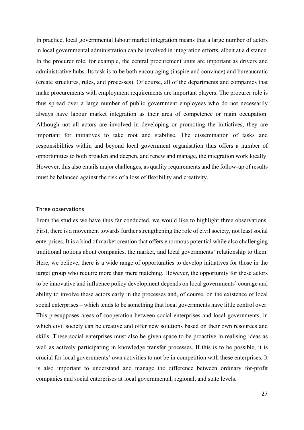In practice, local governmental labour market integration means that a large number of actors in local governmental administration can be involved in integration efforts, albeit at a distance. In the procurer role, for example, the central procurement units are important as drivers and administrative hubs. Its task is to be both encouraging (inspire and convince) and bureaucratic (create structures, rules, and processes). Of course, all of the departments and companies that make procurements with employment requirements are important players. The procurer role is thus spread over a large number of public government employees who do not necessarily always have labour market integration as their area of competence or main occupation. Although not all actors are involved in developing or promoting the initiatives, they are important for initiatives to take root and stabilise. The dissemination of tasks and responsibilities within and beyond local government organisation thus offers a number of opportunities to both broaden and deepen, and renew and manage, the integration work locally. However, this also entails major challenges, as quality requirements and the follow-up of results must be balanced against the risk of a loss of flexibility and creativity.

#### Three observations

From the studies we have thus far conducted, we would like to highlight three observations. First, there is a movement towards further strengthening the role of civil society, not least social enterprises. It is a kind of market creation that offers enormous potential while also challenging traditional notions about companies, the market, and local governments' relationship to them. Here, we believe, there is a wide range of opportunities to develop initiatives for those in the target group who require more than mere matching. However, the opportunity for these actors to be innovative and influence policy development depends on local governments' courage and ability to involve these actors early in the processes and, of course, on the existence of local social enterprises – which tends to be something that local governments have little control over. This presupposes areas of cooperation between social enterprises and local governments, in which civil society can be creative and offer new solutions based on their own resources and skills. These social enterprises must also be given space to be proactive in realising ideas as well as actively participating in knowledge transfer processes. If this is to be possible, it is crucial for local governments' own activities to not be in competition with these enterprises. It is also important to understand and manage the difference between ordinary for-profit companies and social enterprises at local governmental, regional, and state levels.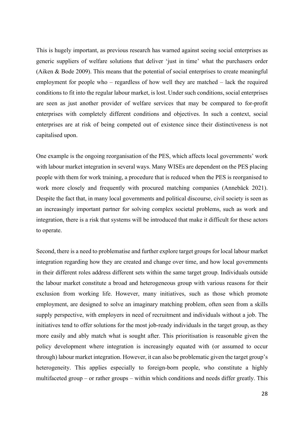This is hugely important, as previous research has warned against seeing social enterprises as generic suppliers of welfare solutions that deliver 'just in time' what the purchasers order (Aiken & Bode 2009). This means that the potential of social enterprises to create meaningful employment for people who – regardless of how well they are matched – lack the required conditions to fit into the regular labour market, is lost. Under such conditions, social enterprises are seen as just another provider of welfare services that may be compared to for-profit enterprises with completely different conditions and objectives. In such a context, social enterprises are at risk of being competed out of existence since their distinctiveness is not capitalised upon.

One example is the ongoing reorganisation of the PES, which affects local governments' work with labour market integration in several ways. Many WISEs are dependent on the PES placing people with them for work training, a procedure that is reduced when the PES is reorganised to work more closely and frequently with procured matching companies (Annebäck 2021). Despite the fact that, in many local governments and political discourse, civil society is seen as an increasingly important partner for solving complex societal problems, such as work and integration, there is a risk that systems will be introduced that make it difficult for these actors to operate.

Second, there is a need to problematise and further explore target groups for local labour market integration regarding how they are created and change over time, and how local governments in their different roles address different sets within the same target group. Individuals outside the labour market constitute a broad and heterogeneous group with various reasons for their exclusion from working life. However, many initiatives, such as those which promote employment, are designed to solve an imaginary matching problem, often seen from a skills supply perspective, with employers in need of recruitment and individuals without a job. The initiatives tend to offer solutions for the most job-ready individuals in the target group, as they more easily and ably match what is sought after. This prioritisation is reasonable given the policy development where integration is increasingly equated with (or assumed to occur through) labour market integration. However, it can also be problematic given the target group's heterogeneity. This applies especially to foreign-born people, who constitute a highly multifaceted group – or rather groups – within which conditions and needs differ greatly. This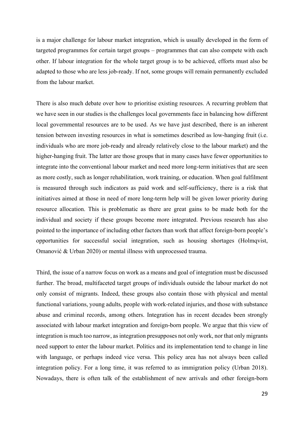is a major challenge for labour market integration, which is usually developed in the form of targeted programmes for certain target groups – programmes that can also compete with each other. If labour integration for the whole target group is to be achieved, efforts must also be adapted to those who are less job-ready. If not, some groups will remain permanently excluded from the labour market.

There is also much debate over how to prioritise existing resources. A recurring problem that we have seen in our studies is the challenges local governments face in balancing how different local governmental resources are to be used. As we have just described, there is an inherent tension between investing resources in what is sometimes described as low-hanging fruit (i.e. individuals who are more job-ready and already relatively close to the labour market) and the higher-hanging fruit. The latter are those groups that in many cases have fewer opportunities to integrate into the conventional labour market and need more long-term initiatives that are seen as more costly, such as longer rehabilitation, work training, or education. When goal fulfilment is measured through such indicators as paid work and self-sufficiency, there is a risk that initiatives aimed at those in need of more long-term help will be given lower priority during resource allocation. This is problematic as there are great gains to be made both for the individual and society if these groups become more integrated. Previous research has also pointed to the importance of including other factors than work that affect foreign-born people's opportunities for successful social integration, such as housing shortages (Holmqvist, Omanović & Urban 2020) or mental illness with unprocessed trauma.

Third, the issue of a narrow focus on work as a means and goal of integration must be discussed further. The broad, multifaceted target groups of individuals outside the labour market do not only consist of migrants. Indeed, these groups also contain those with physical and mental functional variations, young adults, people with work-related injuries, and those with substance abuse and criminal records, among others. Integration has in recent decades been strongly associated with labour market integration and foreign-born people. We argue that this view of integration is much too narrow, as integration presupposes not only work, nor that only migrants need support to enter the labour market. Politics and its implementation tend to change in line with language, or perhaps indeed vice versa. This policy area has not always been called integration policy. For a long time, it was referred to as immigration policy (Urban 2018). Nowadays, there is often talk of the establishment of new arrivals and other foreign-born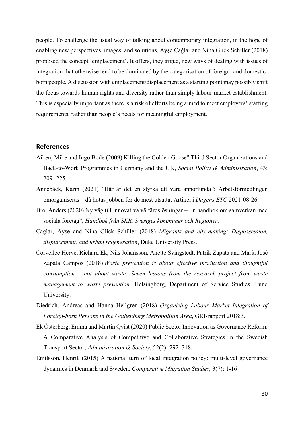people. To challenge the usual way of talking about contemporary integration, in the hope of enabling new perspectives, images, and solutions, Ayşe Çağlar and Nina Glick Schiller (2018) proposed the concept 'emplacement'. It offers, they argue, new ways of dealing with issues of integration that otherwise tend to be dominated by the categorisation of foreign- and domesticborn people. A discussion with emplacement/displacement as a starting point may possibly shift the focus towards human rights and diversity rather than simply labour market establishment. This is especially important as there is a risk of efforts being aimed to meet employers' staffing requirements, rather than people's needs for meaningful employment.

#### **References**

- Aiken, Mike and Ingo Bode (2009) Killing the Golden Goose? Third Sector Organizations and Back-to-Work Programmes in Germany and the UK, *Social Policy & Administration*, 43: 209- 225.
- Annebäck, Karin (2021) "Här är det en styrka att vara annorlunda": Arbetsförmedlingen omorganiseras – då hotas jobben för de mest utsatta, Artikel i *Dagens ETC* 2021-08-26
- Bro, Anders (2020) Ny väg till innovativa välfärdslösningar En handbok om samverkan med sociala företag", *Handbok från SKR, Sveriges kommuner och Regioner*.
- Çaglar, Ayse and Nina Glick Schiller (2018) *Migrants and city-making: Dispossession, displacement, and urban regeneration*, Duke University Press.
- Corvellec Herve, Richard Ek, Nils Johansson, Anette Svingstedt, Patrik Zapata and María José Zapata Campos (2018) *Waste prevention is about effective production and thoughtful consumption – not about waste: Seven lessons from the research project from waste management to waste prevention*. Helsingborg, Department of Service Studies, Lund University.
- Diedrich, Andreas and Hanna Hellgren (2018) *Organizing Labour Market Integration of Foreign-born Persons in the Gothenburg Metropolitan Area*, GRI-rapport 2018:3.
- Ek Österberg, Emma and Martin Qvist (2020) Public Sector Innovation as Governance Reform: A Comparative Analysis of Competitive and Collaborative Strategies in the Swedish Transport Sector, *Administration & Society*, 52(2): 292–318.
- Emilsson, Henrik (2015) A national turn of local integration policy: multi-level governance dynamics in Denmark and Sweden. *Comperative Migration Studies,* 3(7): 1-16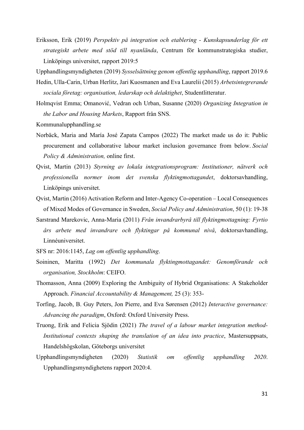Eriksson, Erik (2019) *Perspektiv på integration och etablering - Kunskapsunderlag för ett strategiskt arbete med stöd till nyanlända*, Centrum för kommunstrategiska studier, Linköpings universitet, rapport 2019:5

Upphandlingsmyndigheten (2019) *Sysselsättning genom offentlig upphandling*, rapport 2019.6

- Hedin, Ulla-Carin, Urban Herlitz, Jari Kuosmanen and Eva Laurelii (2015) *Arbetsintegrerande sociala företag: organisation, ledarskap och delaktighet*, Studentlitteratur.
- Holmqvist Emma; Omanović, Vedran och Urban, Susanne (2020) *Organizing Integration in the Labor and Housing Markets*, Rapport från SNS.

Kommunalupphandling.se

- Norbäck, Maria and María José Zapata Campos (2022) The market made us do it: Public procurement and collaborative labour market inclusion governance from below. *Social Policy & Administration,* online first.
- Qvist, Martin (2013) *Styrning av lokala integrationsprogram: Institutioner, nätverk och professionella normer inom det svenska flyktingmottagandet*, doktorsavhandling, Linköpings universitet.
- Qvist, Martin (2016) Activation Reform and Inter-Agency Co-operation Local Consequences of Mixed Modes of Governance in Sweden, *Social Policy and Administration*, 50 (1): 19-38
- Sarstrand Marekovic, Anna-Maria (2011) *Från invandrarbyrå till flyktingmottagning: Fyrtio års arbete med invandrare och flyktingar på kommunal nivå*, doktorsavhandling, Linnéuniversitet.

SFS nr: 2016:1145, *Lag om offentlig upphandling*.

- Soininen, Maritta (1992) *Det kommunala flyktingmottagandet: Genomförande och organisation, Stockholm*: CEIFO.
- Thomasson, Anna (2009) Exploring the Ambiguity of Hybrid Organisations: A Stakeholder Approach. *Financial Accountability & Management,* 25 (3): 353-
- Torfing, Jacob, B. Guy Peters, Jon Pierre, and Eva Sørensen (2012) *Interactive governance: Advancing the paradigm*, Oxford: Oxford University Press.
- Truong, Erik and Felicia Sjödin (2021) *The travel of a labour market integration method-Institutional contexts shaping the translation of an idea into practice*, Mastersuppsats, Handelshögskolan, Göteborgs universitet
- Upphandlingsmyndigheten (2020) *Statistik om offentlig upphandling 2020*. Upphandlingsmyndighetens rapport 2020:4.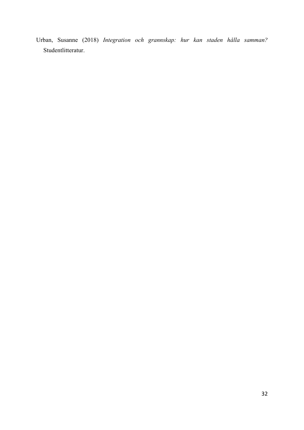Urban, Susanne (2018) *Integration och grannskap: hur kan staden hålla samman?*  Studentlitteratur.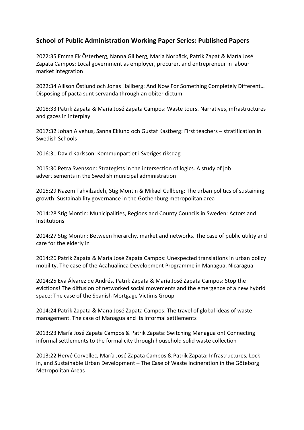## **School of Public Administration Working Paper Series: Published Papers**

2022:35 Emma Ek Österberg, Nanna Gillberg, Maria Norbäck, Patrik Zapat & María José Zapata Campos: Local government as employer, procurer, and entrepreneur in labour market integration

2022:34 Allison Östlund och Jonas Hallberg: And Now For Something Completely Different… Disposing of pacta sunt servanda through an obiter dictum

2018:33 Patrik Zapata & María José Zapata Campos: Waste tours. Narratives, infrastructures and gazes in interplay

2017:32 Johan Alvehus, Sanna Eklund och Gustaf Kastberg: First teachers – stratification in Swedish Schools

2016:31 David Karlsson: Kommunpartiet i Sveriges riksdag

2015:30 Petra Svensson: Strategists in the intersection of logics. A study of job advertisements in the Swedish municipal administration

2015:29 Nazem Tahvilzadeh, Stig Montin & Mikael Cullberg: The urban politics of sustaining growth: Sustainability governance in the Gothenburg metropolitan area

2014:28 Stig Montin: Municipalities, Regions and County Councils in Sweden: Actors and **Institutions** 

2014:27 Stig Montin: Between hierarchy, market and networks. The case of public utility and care for the elderly in

2014:26 Patrik Zapata & María José Zapata Campos: Unexpected translations in urban policy mobility. The case of the Acahualinca Development Programme in Managua, Nicaragua

2014:25 Eva Álvarez de Andrés, Patrik Zapata & María José Zapata Campos: Stop the evictions! The diffusion of networked social movements and the emergence of a new hybrid space: The case of the Spanish Mortgage Victims Group

2014:24 Patrik Zapata & María José Zapata Campos: The travel of global ideas of waste management. The case of Managua and its informal settlements

2013:23 María José Zapata Campos & Patrik Zapata: Switching Managua on! Connecting informal settlements to the formal city through household solid waste collection

2013:22 Hervé Corvellec, María José Zapata Campos & Patrik Zapata: Infrastructures, Lockin, and Sustainable Urban Development – The Case of Waste Incineration in the Göteborg Metropolitan Areas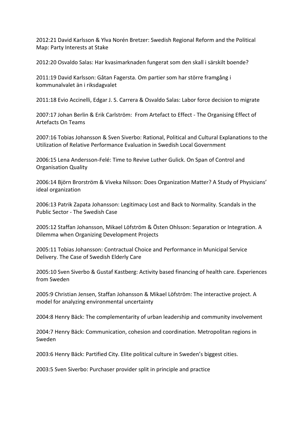2012:21 David Karlsson & Ylva Norén Bretzer: Swedish Regional Reform and the Political Map: Party Interests at Stake

2012:20 Osvaldo Salas: Har kvasimarknaden fungerat som den skall i särskilt boende?

2011:19 David Karlsson: Gåtan Fagersta. Om partier som har större framgång i kommunalvalet än i riksdagvalet

2011:18 Evio Accinelli, Edgar J. S. Carrera & Osvaldo Salas: Labor force decision to migrate

2007:17 Johan Berlin & Erik Carlström: From Artefact to Effect - The Organising Effect of Artefacts On Teams

2007:16 Tobias Johansson & Sven Siverbo: Rational, Political and Cultural Explanations to the Utilization of Relative Performance Evaluation in Swedish Local Government

2006:15 Lena Andersson-Felé: Time to Revive Luther Gulick. On Span of Control and Organisation Quality

2006:14 Björn Brorström & Viveka Nilsson: Does Organization Matter? A Study of Physicians' ideal organization

2006:13 Patrik Zapata Johansson: Legitimacy Lost and Back to Normality. Scandals in the Public Sector - The Swedish Case

2005:12 Staffan Johansson, Mikael Löfström & Östen Ohlsson: Separation or Integration. A Dilemma when Organizing Development Projects

2005:11 Tobias Johansson: Contractual Choice and Performance in Municipal Service Delivery. The Case of Swedish Elderly Care

2005:10 Sven Siverbo & Gustaf Kastberg: Activity based financing of health care. Experiences from Sweden

2005:9 Christian Jensen, Staffan Johansson & Mikael Löfström: The interactive project. A model for analyzing environmental uncertainty

2004:8 Henry Bäck: The complementarity of urban leadership and community involvement

2004:7 Henry Bäck: Communication, cohesion and coordination. Metropolitan regions in Sweden

2003:6 Henry Bäck: Partified City. Elite political culture in Sweden's biggest cities.

2003:5 Sven Siverbo: Purchaser provider split in principle and practice